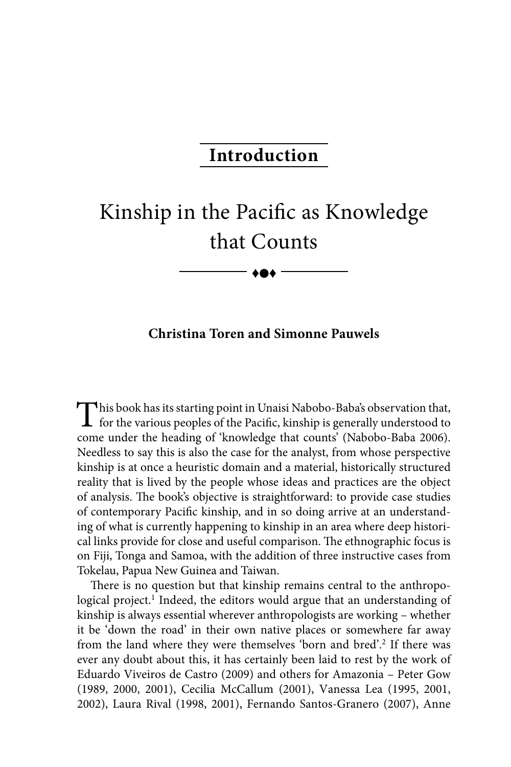## **Introduction**

# Kinship in the Pacific as Knowledge that Counts

♦l♦

#### **Christina Toren and Simonne Pauwels**

This book has its starting point in Unaisi Nabobo-Baba's observation that,<br>for the various peoples of the Pacific, kinship is generally understood to<br>move due that has been been to the term of  $\frac{2}{3}$ . come under the heading of 'knowledge that counts' (Nabobo-Baba 2006). Needless to say this is also the case for the analyst, from whose perspective kinship is at once a heuristic domain and a material, historically structured reality that is lived by the people whose ideas and practices are the object of analysis. The book's objective is straightforward: to provide case studies of contemporary Pacific kinship, and in so doing arrive at an understanding of what is currently happening to kinship in an area where deep historical links provide for close and useful comparison. The ethnographic focus is on Fiji, Tonga and Samoa, with the addition of three instructive cases from Tokelau, Papua New Guinea and Taiwan.

There is no question but that kinship remains central to the anthropological project.<sup>1</sup> Indeed, the editors would argue that an understanding of kinship is always essential wherever anthropologists are working – whether it be 'down the road' in their own native places or somewhere far away from the land where they were themselves 'born and bred'.<sup>2</sup> If there was ever any doubt about this, it has certainly been laid to rest by the work of Eduardo Viveiros de Castro (2009) and others for Amazonia – Peter Gow (1989, 2000, 2001), Cecilia McCallum (2001), Vanessa Lea (1995, 2001, 2002), Laura Rival (1998, 2001), Fernando Santos-Granero (2007), Anne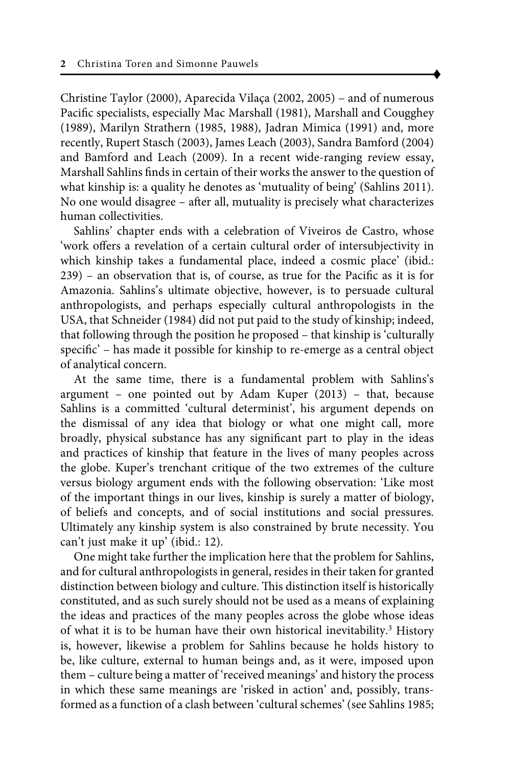Christine Taylor (2000), Aparecida Vilaça (2002, 2005) – and of numerous Pacific specialists, especially Mac Marshall (1981), Marshall and Cougghey (1989), Marilyn Strathern (1985, 1988), Jadran Mimica (1991) and, more recently, Rupert Stasch (2003), James Leach (2003), Sandra Bamford (2004) and Bamford and Leach (2009). In a recent wide-ranging review essay, Marshall Sahlins finds in certain of their works the answer to the question of what kinship is: a quality he denotes as 'mutuality of being' (Sahlins 2011). No one would disagree – after all, mutuality is precisely what characterizes human collectivities.

♦

Sahlins' chapter ends with a celebration of Viveiros de Castro, whose 'work offers a revelation of a certain cultural order of intersubjectivity in which kinship takes a fundamental place, indeed a cosmic place' (ibid.: 239) – an observation that is, of course, as true for the Pacific as it is for Amazonia. Sahlins's ultimate objective, however, is to persuade cultural anthropologists, and perhaps especially cultural anthropologists in the USA, that Schneider (1984) did not put paid to the study of kinship; indeed, that following through the position he proposed – that kinship is 'culturally specific' – has made it possible for kinship to re-emerge as a central object of analytical concern.

At the same time, there is a fundamental problem with Sahlins's argument – one pointed out by Adam Kuper (2013) – that, because Sahlins is a committed 'cultural determinist', his argument depends on the dismissal of any idea that biology or what one might call, more broadly, physical substance has any significant part to play in the ideas and practices of kinship that feature in the lives of many peoples across the globe. Kuper's trenchant critique of the two extremes of the culture versus biology argument ends with the following observation: 'Like most of the important things in our lives, kinship is surely a matter of biology, of beliefs and concepts, and of social institutions and social pressures. Ultimately any kinship system is also constrained by brute necessity. You can't just make it up' (ibid.: 12).

One might take further the implication here that the problem for Sahlins, and for cultural anthropologists in general, resides in their taken for granted distinction between biology and culture. This distinction itself is historically constituted, and as such surely should not be used as a means of explaining the ideas and practices of the many peoples across the globe whose ideas of what it is to be human have their own historical inevitability.<sup>3</sup> History is, however, likewise a problem for Sahlins because he holds history to be, like culture, external to human beings and, as it were, imposed upon them – culture being a matter of 'received meanings' and history the process in which these same meanings are 'risked in action' and, possibly, transformed as a function of a clash between 'cultural schemes' (see Sahlins 1985;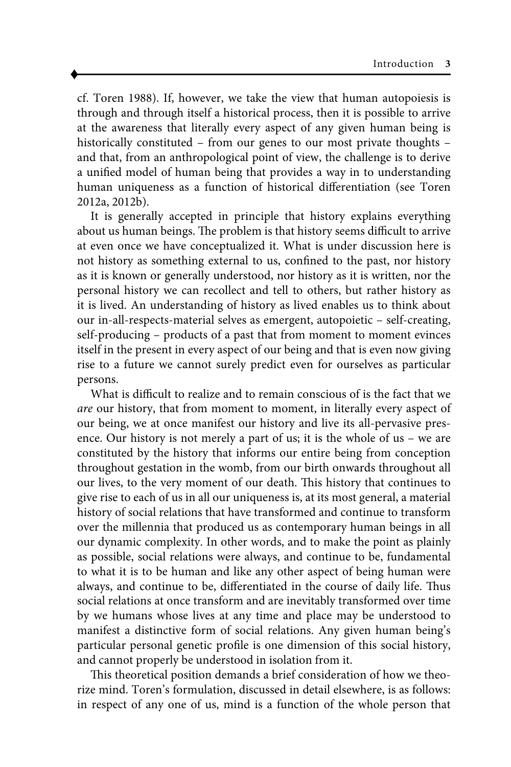cf. Toren 1988). If, however, we take the view that human autopoiesis is through and through itself a historical process, then it is possible to arrive at the awareness that literally every aspect of any given human being is historically constituted – from our genes to our most private thoughts – and that, from an anthropological point of view, the challenge is to derive a unified model of human being that provides a way in to understanding human uniqueness as a function of historical differentiation (see Toren 2012a, 2012b).

♦

It is generally accepted in principle that history explains everything about us human beings. The problem is that history seems difficult to arrive at even once we have conceptualized it. What is under discussion here is not history as something external to us, confined to the past, nor history as it is known or generally understood, nor history as it is written, nor the personal history we can recollect and tell to others, but rather history as it is lived. An understanding of history as lived enables us to think about our in-all-respects-material selves as emergent, autopoietic – self-creating, self-producing – products of a past that from moment to moment evinces itself in the present in every aspect of our being and that is even now giving rise to a future we cannot surely predict even for ourselves as particular persons.

What is difficult to realize and to remain conscious of is the fact that we *are* our history, that from moment to moment, in literally every aspect of our being, we at once manifest our history and live its all-pervasive presence. Our history is not merely a part of us; it is the whole of us – we are constituted by the history that informs our entire being from conception throughout gestation in the womb, from our birth onwards throughout all our lives, to the very moment of our death. This history that continues to give rise to each of us in all our uniqueness is, at its most general, a material history of social relations that have transformed and continue to transform over the millennia that produced us as contemporary human beings in all our dynamic complexity. In other words, and to make the point as plainly as possible, social relations were always, and continue to be, fundamental to what it is to be human and like any other aspect of being human were always, and continue to be, differentiated in the course of daily life. Thus social relations at once transform and are inevitably transformed over time by we humans whose lives at any time and place may be understood to manifest a distinctive form of social relations. Any given human being's particular personal genetic profile is one dimension of this social history, and cannot properly be understood in isolation from it.

This theoretical position demands a brief consideration of how we theorize mind. Toren's formulation, discussed in detail elsewhere, is as follows: in respect of any one of us, mind is a function of the whole person that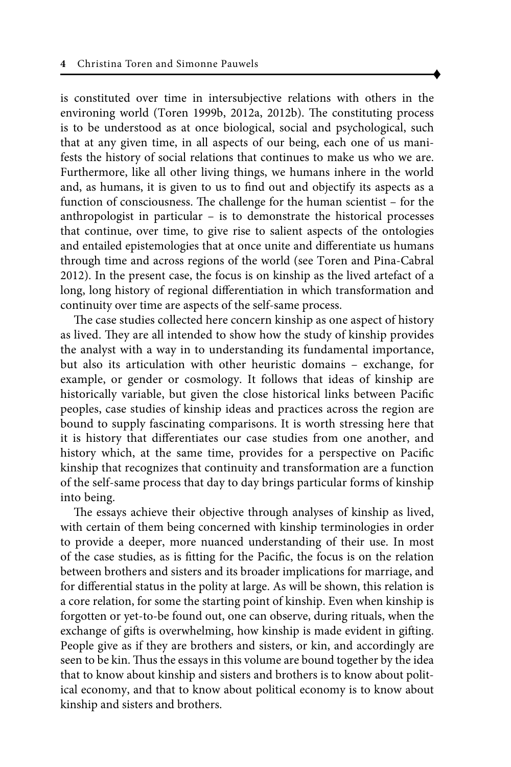is constituted over time in intersubjective relations with others in the environing world (Toren 1999b, 2012a, 2012b). The constituting process is to be understood as at once biological, social and psychological, such that at any given time, in all aspects of our being, each one of us manifests the history of social relations that continues to make us who we are. Furthermore, like all other living things, we humans inhere in the world and, as humans, it is given to us to find out and objectify its aspects as a function of consciousness. The challenge for the human scientist – for the anthropologist in particular – is to demonstrate the historical processes that continue, over time, to give rise to salient aspects of the ontologies and entailed epistemologies that at once unite and differentiate us humans through time and across regions of the world (see Toren and Pina-Cabral 2012). In the present case, the focus is on kinship as the lived artefact of a long, long history of regional differentiation in which transformation and continuity over time are aspects of the self-same process.

♦

The case studies collected here concern kinship as one aspect of history as lived. They are all intended to show how the study of kinship provides the analyst with a way in to understanding its fundamental importance, but also its articulation with other heuristic domains – exchange, for example, or gender or cosmology. It follows that ideas of kinship are historically variable, but given the close historical links between Pacific peoples, case studies of kinship ideas and practices across the region are bound to supply fascinating comparisons. It is worth stressing here that it is history that differentiates our case studies from one another, and history which, at the same time, provides for a perspective on Pacific kinship that recognizes that continuity and transformation are a function of the self-same process that day to day brings particular forms of kinship into being.

The essays achieve their objective through analyses of kinship as lived, with certain of them being concerned with kinship terminologies in order to provide a deeper, more nuanced understanding of their use. In most of the case studies, as is fitting for the Pacific, the focus is on the relation between brothers and sisters and its broader implications for marriage, and for differential status in the polity at large. As will be shown, this relation is a core relation, for some the starting point of kinship. Even when kinship is forgotten or yet-to-be found out, one can observe, during rituals, when the exchange of gifts is overwhelming, how kinship is made evident in gifting. People give as if they are brothers and sisters, or kin, and accordingly are seen to be kin. Thus the essays in this volume are bound together by the idea that to know about kinship and sisters and brothers is to know about political economy, and that to know about political economy is to know about kinship and sisters and brothers.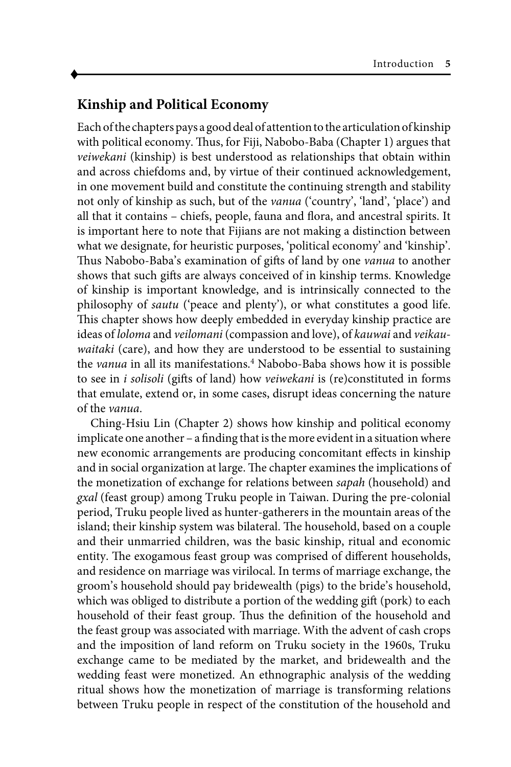### **Kinship and Political Economy**

♦

Each of the chapters pays a good deal of attention to the articulation of kinship with political economy. Thus, for Fiji, Nabobo-Baba (Chapter 1) argues that *veiwekani* (kinship) is best understood as relationships that obtain within and across chiefdoms and, by virtue of their continued acknowledgement, in one movement build and constitute the continuing strength and stability not only of kinship as such, but of the *vanua* ('country', 'land', 'place') and all that it contains – chiefs, people, fauna and flora, and ancestral spirits. It is important here to note that Fijians are not making a distinction between what we designate, for heuristic purposes, 'political economy' and 'kinship'. Thus Nabobo-Baba's examination of gifts of land by one *vanua* to another shows that such gifts are always conceived of in kinship terms. Knowledge of kinship is important knowledge, and is intrinsically connected to the philosophy of *sautu* ('peace and plenty'), or what constitutes a good life. This chapter shows how deeply embedded in everyday kinship practice are ideas of *loloma* and *veilomani* (compassion and love), of *kauwai* and *veikauwaitaki* (care), and how they are understood to be essential to sustaining the *vanua* in all its manifestations.<sup>4</sup> Nabobo-Baba shows how it is possible to see in *i solisoli* (gifts of land) how *veiwekani* is (re)constituted in forms that emulate, extend or, in some cases, disrupt ideas concerning the nature of the *vanua*.

Ching-Hsiu Lin (Chapter 2) shows how kinship and political economy implicate one another – a finding that is the more evident in a situation where new economic arrangements are producing concomitant effects in kinship and in social organization at large. The chapter examines the implications of the monetization of exchange for relations between *sapah* (household) and *gxal* (feast group) among Truku people in Taiwan. During the pre-colonial period, Truku people lived as hunter-gatherers in the mountain areas of the island; their kinship system was bilateral. The household, based on a couple and their unmarried children, was the basic kinship, ritual and economic entity. The exogamous feast group was comprised of different households, and residence on marriage was virilocal. In terms of marriage exchange, the groom's household should pay bridewealth (pigs) to the bride's household, which was obliged to distribute a portion of the wedding gift (pork) to each household of their feast group. Thus the definition of the household and the feast group was associated with marriage. With the advent of cash crops and the imposition of land reform on Truku society in the 1960s, Truku exchange came to be mediated by the market, and bridewealth and the wedding feast were monetized. An ethnographic analysis of the wedding ritual shows how the monetization of marriage is transforming relations between Truku people in respect of the constitution of the household and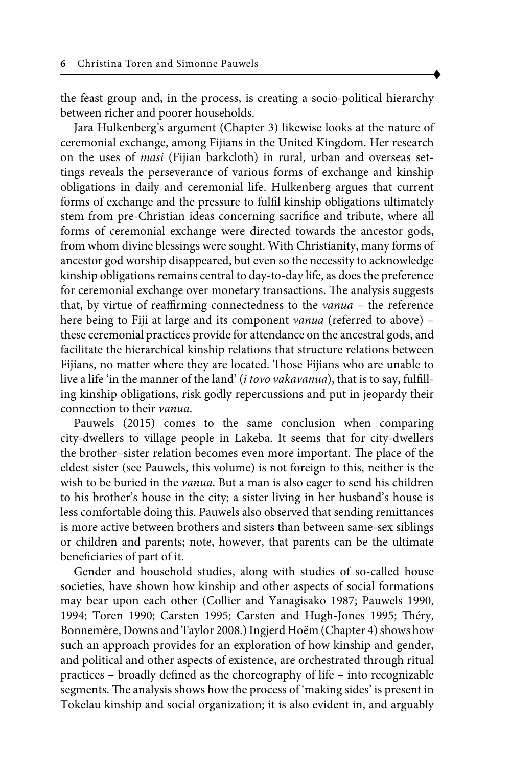the feast group and, in the process, is creating a socio-political hierarchy between richer and poorer households.

♦

Jara Hulkenberg's argument (Chapter 3) likewise looks at the nature of ceremonial exchange, among Fijians in the United Kingdom. Her research on the uses of *masi* (Fijian barkcloth) in rural, urban and overseas settings reveals the perseverance of various forms of exchange and kinship obligations in daily and ceremonial life. Hulkenberg argues that current forms of exchange and the pressure to fulfil kinship obligations ultimately stem from pre-Christian ideas concerning sacrifice and tribute, where all forms of ceremonial exchange were directed towards the ancestor gods, from whom divine blessings were sought. With Christianity, many forms of ancestor god worship disappeared, but even so the necessity to acknowledge kinship obligations remains central to day-to-day life, as does the preference for ceremonial exchange over monetary transactions. The analysis suggests that, by virtue of reaffirming connectedness to the *vanua* – the reference here being to Fiji at large and its component *vanua* (referred to above) these ceremonial practices provide for attendance on the ancestral gods, and facilitate the hierarchical kinship relations that structure relations between Fijians, no matter where they are located. Those Fijians who are unable to live a life 'in the manner of the land' (*i tovo vakavanua*), that is to say, fulfilling kinship obligations, risk godly repercussions and put in jeopardy their connection to their *vanua*.

Pauwels (2015) comes to the same conclusion when comparing city-dwellers to village people in Lakeba. It seems that for city-dwellers the brother–sister relation becomes even more important. The place of the eldest sister (see Pauwels, this volume) is not foreign to this, neither is the wish to be buried in the *vanua*. But a man is also eager to send his children to his brother's house in the city; a sister living in her husband's house is less comfortable doing this. Pauwels also observed that sending remittances is more active between brothers and sisters than between same-sex siblings or children and parents; note, however, that parents can be the ultimate beneficiaries of part of it.

Gender and household studies, along with studies of so-called house societies, have shown how kinship and other aspects of social formations may bear upon each other (Collier and Yanagisako 1987; Pauwels 1990, 1994; Toren 1990; Carsten 1995; Carsten and Hugh-Jones 1995; Théry, Bonnemère, Downs and Taylor 2008.) Ingjerd Hoëm (Chapter 4) shows how such an approach provides for an exploration of how kinship and gender, and political and other aspects of existence, are orchestrated through ritual practices – broadly defined as the choreography of life – into recognizable segments. The analysis shows how the process of 'making sides' is present in Tokelau kinship and social organization; it is also evident in, and arguably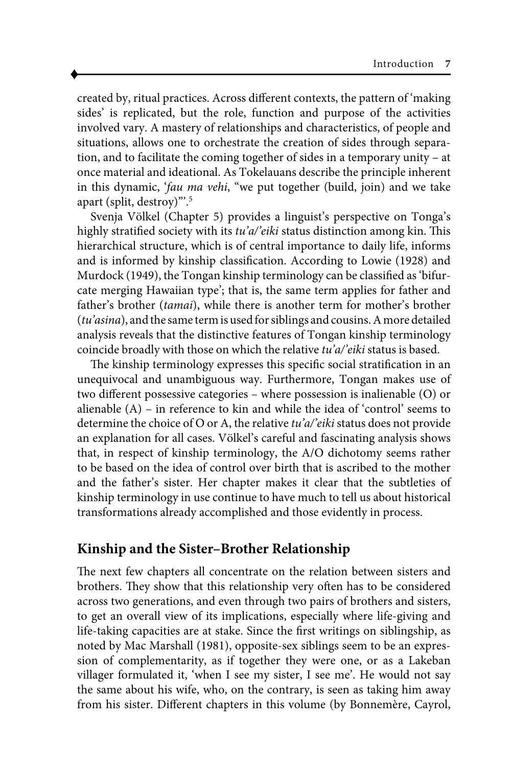created by, ritual practices. Across different contexts, the pattern of 'making sides' is replicated, but the role, function and purpose of the activities involved vary. A mastery of relationships and characteristics, of people and situations, allows one to orchestrate the creation of sides through separation, and to facilitate the coming together of sides in a temporary unity – at once material and ideational. As Tokelauans describe the principle inherent in this dynamic, '*fau ma vehi*, "we put together (build, join) and we take apart (split, destroy)"'.5

♦

Svenja Völkel (Chapter 5) provides a linguist's perspective on Tonga's highly stratified society with its *tu'a/'eiki* status distinction among kin. This hierarchical structure, which is of central importance to daily life, informs and is informed by kinship classification. According to Lowie (1928) and Murdock (1949), the Tongan kinship terminology can be classified as 'bifurcate merging Hawaiian type'; that is, the same term applies for father and father's brother (*tamai*), while there is another term for mother's brother (*tu'asina*), and the same term is used for siblings and cousins. A more detailed analysis reveals that the distinctive features of Tongan kinship terminology coincide broadly with those on which the relative *tu'a/'eiki* status is based.

The kinship terminology expresses this specific social stratification in an unequivocal and unambiguous way. Furthermore, Tongan makes use of two different possessive categories – where possession is inalienable (O) or alienable  $(A)$  – in reference to kin and while the idea of 'control' seems to determine the choice of O or A, the relative *tu'a/'eiki* status does not provide an explanation for all cases. Völkel's careful and fascinating analysis shows that, in respect of kinship terminology, the A/O dichotomy seems rather to be based on the idea of control over birth that is ascribed to the mother and the father's sister. Her chapter makes it clear that the subtleties of kinship terminology in use continue to have much to tell us about historical transformations already accomplished and those evidently in process.

#### **Kinship and the Sister–Brother Relationship**

The next few chapters all concentrate on the relation between sisters and brothers. They show that this relationship very often has to be considered across two generations, and even through two pairs of brothers and sisters, to get an overall view of its implications, especially where life-giving and life-taking capacities are at stake. Since the first writings on siblingship, as noted by Mac Marshall (1981), opposite-sex siblings seem to be an expression of complementarity, as if together they were one, or as a Lakeban villager formulated it, 'when I see my sister, I see me'. He would not say the same about his wife, who, on the contrary, is seen as taking him away from his sister. Different chapters in this volume (by Bonnemère, Cayrol,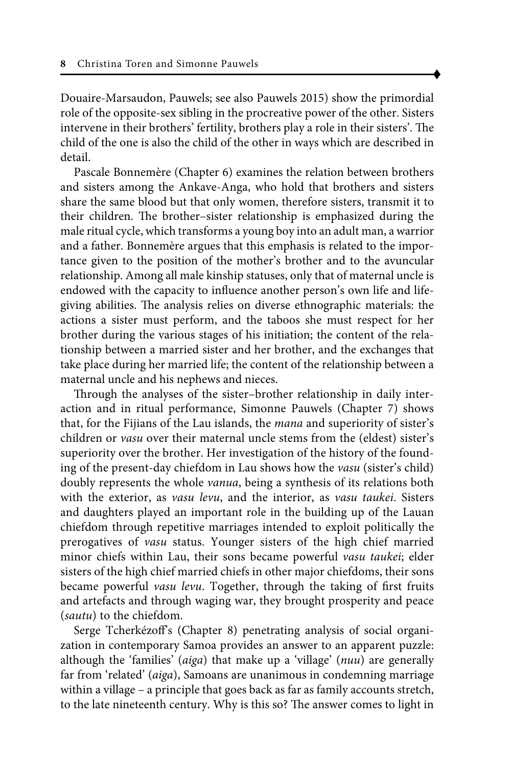Douaire-Marsaudon, Pauwels; see also Pauwels 2015) show the primordial role of the opposite-sex sibling in the procreative power of the other. Sisters intervene in their brothers' fertility, brothers play a role in their sisters'. The child of the one is also the child of the other in ways which are described in detail.

♦

Pascale Bonnemère (Chapter 6) examines the relation between brothers and sisters among the Ankave-Anga, who hold that brothers and sisters share the same blood but that only women, therefore sisters, transmit it to their children. The brother–sister relationship is emphasized during the male ritual cycle, which transforms a young boy into an adult man, a warrior and a father. Bonnemère argues that this emphasis is related to the importance given to the position of the mother's brother and to the avuncular relationship. Among all male kinship statuses, only that of maternal uncle is endowed with the capacity to influence another person's own life and lifegiving abilities. The analysis relies on diverse ethnographic materials: the actions a sister must perform, and the taboos she must respect for her brother during the various stages of his initiation; the content of the relationship between a married sister and her brother, and the exchanges that take place during her married life; the content of the relationship between a maternal uncle and his nephews and nieces.

Through the analyses of the sister–brother relationship in daily interaction and in ritual performance, Simonne Pauwels (Chapter 7) shows that, for the Fijians of the Lau islands, the *mana* and superiority of sister's children or *vasu* over their maternal uncle stems from the (eldest) sister's superiority over the brother. Her investigation of the history of the founding of the present-day chiefdom in Lau shows how the *vasu* (sister's child) doubly represents the whole *vanua*, being a synthesis of its relations both with the exterior, as *vasu levu*, and the interior, as *vasu taukei*. Sisters and daughters played an important role in the building up of the Lauan chiefdom through repetitive marriages intended to exploit politically the prerogatives of *vasu* status. Younger sisters of the high chief married minor chiefs within Lau, their sons became powerful *vasu taukei*; elder sisters of the high chief married chiefs in other major chiefdoms, their sons became powerful *vasu levu*. Together, through the taking of first fruits and artefacts and through waging war, they brought prosperity and peace (*sautu*) to the chiefdom.

Serge Tcherkézoff's (Chapter 8) penetrating analysis of social organization in contemporary Samoa provides an answer to an apparent puzzle: although the 'families' (*aiga*) that make up a 'village' (*nuu*) are generally far from 'related' (*aiga*), Samoans are unanimous in condemning marriage within a village – a principle that goes back as far as family accounts stretch, to the late nineteenth century. Why is this so? The answer comes to light in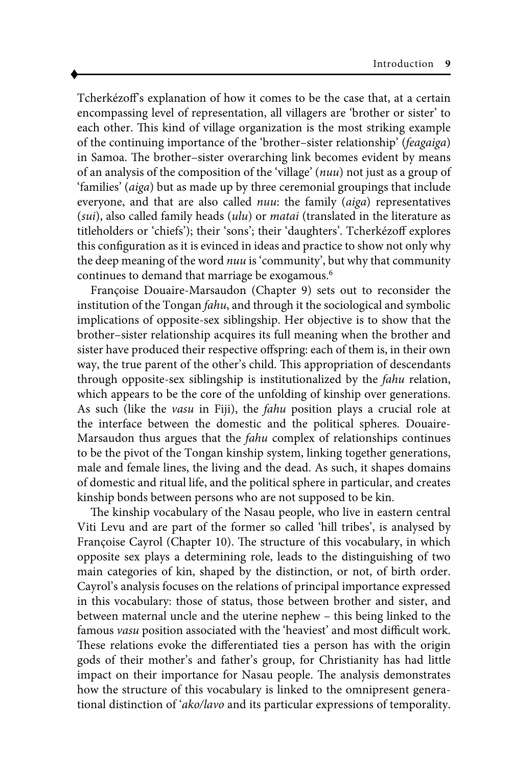Tcherkézoff's explanation of how it comes to be the case that, at a certain encompassing level of representation, all villagers are 'brother or sister' to each other. This kind of village organization is the most striking example of the continuing importance of the 'brother–sister relationship' (*feagaiga*) in Samoa. The brother–sister overarching link becomes evident by means of an analysis of the composition of the 'village' (*nuu*) not just as a group of 'families' (*aiga*) but as made up by three ceremonial groupings that include everyone, and that are also called *nuu*: the family (*aiga*) representatives (*sui*), also called family heads (*ulu*) or *matai* (translated in the literature as titleholders or 'chiefs'); their 'sons'; their 'daughters'. Tcherkézoff explores this configuration as it is evinced in ideas and practice to show not only why the deep meaning of the word *nuu* is 'community', but why that community continues to demand that marriage be exogamous.<sup>6</sup>

♦

Françoise Douaire-Marsaudon (Chapter 9) sets out to reconsider the institution of the Tongan *fahu*, and through it the sociological and symbolic implications of opposite-sex siblingship. Her objective is to show that the brother–sister relationship acquires its full meaning when the brother and sister have produced their respective offspring: each of them is, in their own way, the true parent of the other's child. This appropriation of descendants through opposite-sex siblingship is institutionalized by the *fahu* relation, which appears to be the core of the unfolding of kinship over generations. As such (like the *vasu* in Fiji), the *fahu* position plays a crucial role at the interface between the domestic and the political spheres. Douaire-Marsaudon thus argues that the *fahu* complex of relationships continues to be the pivot of the Tongan kinship system, linking together generations, male and female lines, the living and the dead. As such, it shapes domains of domestic and ritual life, and the political sphere in particular, and creates kinship bonds between persons who are not supposed to be kin.

The kinship vocabulary of the Nasau people, who live in eastern central Viti Levu and are part of the former so called 'hill tribes', is analysed by Françoise Cayrol (Chapter 10). The structure of this vocabulary, in which opposite sex plays a determining role, leads to the distinguishing of two main categories of kin, shaped by the distinction, or not, of birth order. Cayrol's analysis focuses on the relations of principal importance expressed in this vocabulary: those of status, those between brother and sister, and between maternal uncle and the uterine nephew – this being linked to the famous *vasu* position associated with the 'heaviest' and most difficult work. These relations evoke the differentiated ties a person has with the origin gods of their mother's and father's group, for Christianity has had little impact on their importance for Nasau people. The analysis demonstrates how the structure of this vocabulary is linked to the omnipresent generational distinction of '*ako/lavo* and its particular expressions of temporality.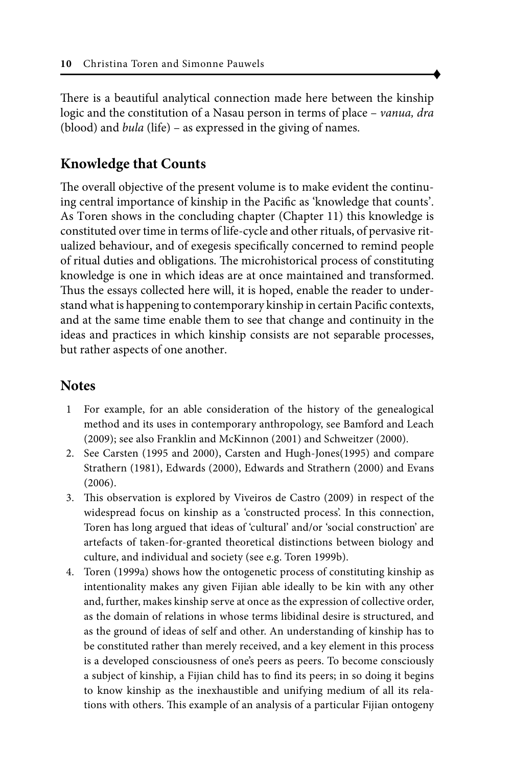There is a beautiful analytical connection made here between the kinship logic and the constitution of a Nasau person in terms of place – *vanua, dra* (blood) and *bula* (life) – as expressed in the giving of names.

♦

#### **Knowledge that Counts**

The overall objective of the present volume is to make evident the continuing central importance of kinship in the Pacific as 'knowledge that counts'. As Toren shows in the concluding chapter (Chapter 11) this knowledge is constituted over time in terms of life-cycle and other rituals, of pervasive ritualized behaviour, and of exegesis specifically concerned to remind people of ritual duties and obligations. The microhistorical process of constituting knowledge is one in which ideas are at once maintained and transformed. Thus the essays collected here will, it is hoped, enable the reader to understand what is happening to contemporary kinship in certain Pacific contexts, and at the same time enable them to see that change and continuity in the ideas and practices in which kinship consists are not separable processes, but rather aspects of one another.

#### **Notes**

- 1 For example, for an able consideration of the history of the genealogical method and its uses in contemporary anthropology, see Bamford and Leach (2009); see also Franklin and McKinnon (2001) and Schweitzer (2000).
- 2. See Carsten (1995 and 2000), Carsten and Hugh-Jones(1995) and compare Strathern (1981), Edwards (2000), Edwards and Strathern (2000) and Evans (2006).
- 3. This observation is explored by Viveiros de Castro (2009) in respect of the widespread focus on kinship as a 'constructed process'. In this connection, Toren has long argued that ideas of 'cultural' and/or 'social construction' are artefacts of taken-for-granted theoretical distinctions between biology and culture, and individual and society (see e.g. Toren 1999b).
- 4. Toren (1999a) shows how the ontogenetic process of constituting kinship as intentionality makes any given Fijian able ideally to be kin with any other and, further, makes kinship serve at once as the expression of collective order, as the domain of relations in whose terms libidinal desire is structured, and as the ground of ideas of self and other. An understanding of kinship has to be constituted rather than merely received, and a key element in this process is a developed consciousness of one's peers as peers. To become consciously a subject of kinship, a Fijian child has to find its peers; in so doing it begins to know kinship as the inexhaustible and unifying medium of all its relations with others. This example of an analysis of a particular Fijian ontogeny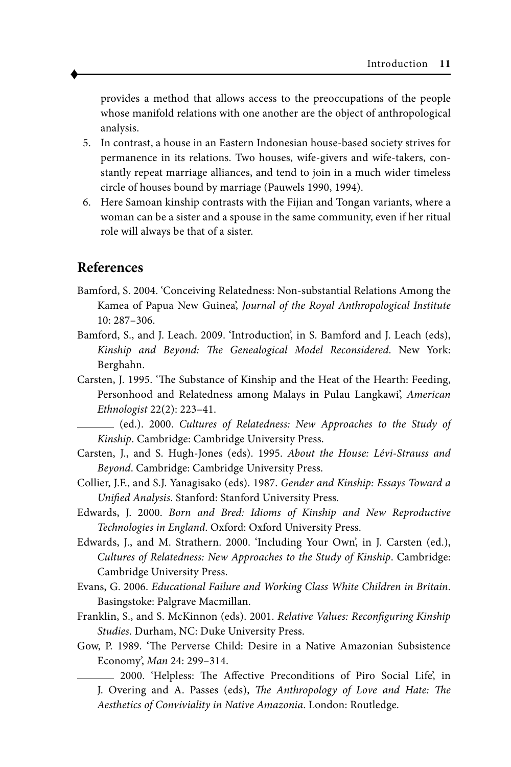provides a method that allows access to the preoccupations of the people whose manifold relations with one another are the object of anthropological analysis.

- 5. In contrast, a house in an Eastern Indonesian house-based society strives for permanence in its relations. Two houses, wife-givers and wife-takers, constantly repeat marriage alliances, and tend to join in a much wider timeless circle of houses bound by marriage (Pauwels 1990, 1994).
- 6. Here Samoan kinship contrasts with the Fijian and Tongan variants, where a woman can be a sister and a spouse in the same community, even if her ritual role will always be that of a sister.

#### **References**

♦

- Bamford, S. 2004. 'Conceiving Relatedness: Non-substantial Relations Among the Kamea of Papua New Guinea', *Journal of the Royal Anthropological Institute* 10: 287–306.
- Bamford, S., and J. Leach. 2009. 'Introduction', in S. Bamford and J. Leach (eds), *Kinship and Beyond: The Genealogical Model Reconsidered*. New York: Berghahn.
- Carsten, J. 1995. 'The Substance of Kinship and the Heat of the Hearth: Feeding, Personhood and Relatedness among Malays in Pulau Langkawi', *American Ethnologist* 22(2): 223–41.

 (ed.). 2000. *Cultures of Relatedness: New Approaches to the Study of Kinship*. Cambridge: Cambridge University Press.

- Carsten, J., and S. Hugh-Jones (eds). 1995. *About the House: Lévi-Strauss and Beyond*. Cambridge: Cambridge University Press.
- Collier, J.F., and S.J. Yanagisako (eds). 1987. *Gender and Kinship: Essays Toward a Unified Analysis*. Stanford: Stanford University Press.
- Edwards, J. 2000. *Born and Bred: Idioms of Kinship and New Reproductive Technologies in England*. Oxford: Oxford University Press.
- Edwards, J., and M. Strathern. 2000. 'Including Your Own', in J. Carsten (ed.), *Cultures of Relatedness: New Approaches to the Study of Kinship*. Cambridge: Cambridge University Press.
- Evans, G. 2006. *Educational Failure and Working Class White Children in Britain*. Basingstoke: Palgrave Macmillan.
- Franklin, S., and S. McKinnon (eds). 2001. *Relative Values: Reconfiguring Kinship Studies*. Durham, NC: Duke University Press.
- Gow, P. 1989. 'The Perverse Child: Desire in a Native Amazonian Subsistence Economy', *Man* 24: 299–314.

 2000. 'Helpless: The Affective Preconditions of Piro Social Life', in J. Overing and A. Passes (eds), *The Anthropology of Love and Hate: The Aesthetics of Conviviality in Native Amazonia*. London: Routledge.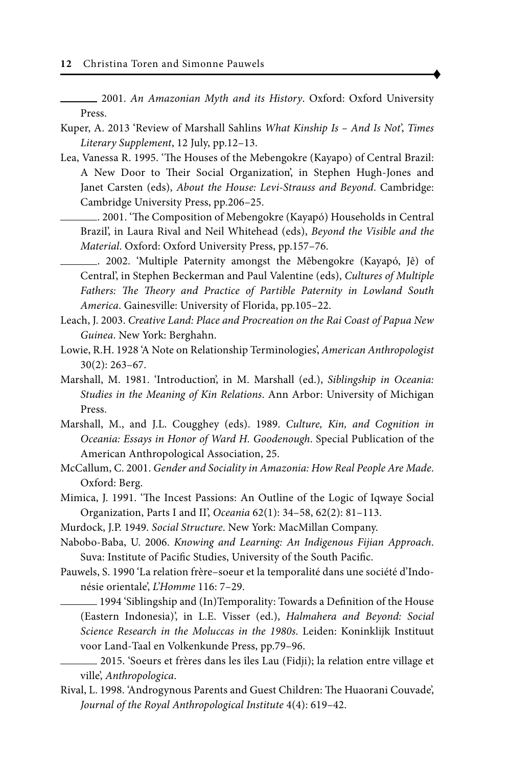2001. *An Amazonian Myth and its History*. Oxford: Oxford University Press.

♦

- Kuper, A. 2013 'Review of Marshall Sahlins *What Kinship Is And Is Not*', *Times Literary Supplement*, 12 July, pp.12–13.
- Lea, Vanessa R. 1995. 'The Houses of the Mebengokre (Kayapo) of Central Brazil: A New Door to Their Social Organization', in Stephen Hugh-Jones and Janet Carsten (eds), *About the House: Levi-Strauss and Beyond*. Cambridge: Cambridge University Press, pp.206–25.
	- . 2001. 'The Composition of Mebengokre (Kayapó) Households in Central Brazil', in Laura Rival and Neil Whitehead (eds), *Beyond the Visible and the Material*. Oxford: Oxford University Press, pp.157–76.

. 2002. 'Multiple Paternity amongst the Mẽbengokre (Kayapó, Jê) of Central', in Stephen Beckerman and Paul Valentine (eds), *Cultures of Multiple Fathers: The Theory and Practice of Partible Paternity in Lowland South America*. Gainesville: University of Florida, pp.105–22.

- Leach, J. 2003. *Creative Land: Place and Procreation on the Rai Coast of Papua New Guinea*. New York: Berghahn.
- Lowie, R.H. 1928 'A Note on Relationship Terminologies', *American Anthropologist* 30(2): 263–67.
- Marshall, M. 1981. 'Introduction', in M. Marshall (ed.), *Siblingship in Oceania: Studies in the Meaning of Kin Relations*. Ann Arbor: University of Michigan Press.
- Marshall, M., and J.L. Cougghey (eds). 1989. *Culture, Kin, and Cognition in Oceania: Essays in Honor of Ward H. Goodenough*. Special Publication of the American Anthropological Association, 25.

McCallum, C. 2001. *Gender and Sociality in Amazonia: How Real People Are Made*. Oxford: Berg.

Mimica, J. 1991. 'The Incest Passions: An Outline of the Logic of Iqwaye Social Organization, Parts I and II', *Oceania* 62(1): 34–58, 62(2): 81–113.

Murdock, J.P. 1949. *Social Structure*. New York: MacMillan Company.

Nabobo-Baba, U. 2006. *Knowing and Learning: An Indigenous Fijian Approach*. Suva: Institute of Pacific Studies, University of the South Pacific.

Pauwels, S. 1990 'La relation frère–soeur et la temporalité dans une société d'Indonésie orientale', *L'Homme* 116: 7–29.

 1994 'Siblingship and (In)Temporality: Towards a Definition of the House (Eastern Indonesia)', in L.E. Visser (ed.), *Halmahera and Beyond: Social Science Research in the Moluccas in the 1980s*. Leiden: Koninklijk Instituut voor Land-Taal en Volkenkunde Press, pp.79–96.

 2015. 'Soeurs et frères dans les îles Lau (Fidji); la relation entre village et ville', *Anthropologica*.

Rival, L. 1998. 'Androgynous Parents and Guest Children: The Huaorani Couvade', *Journal of the Royal Anthropological Institute* 4(4): 619–42.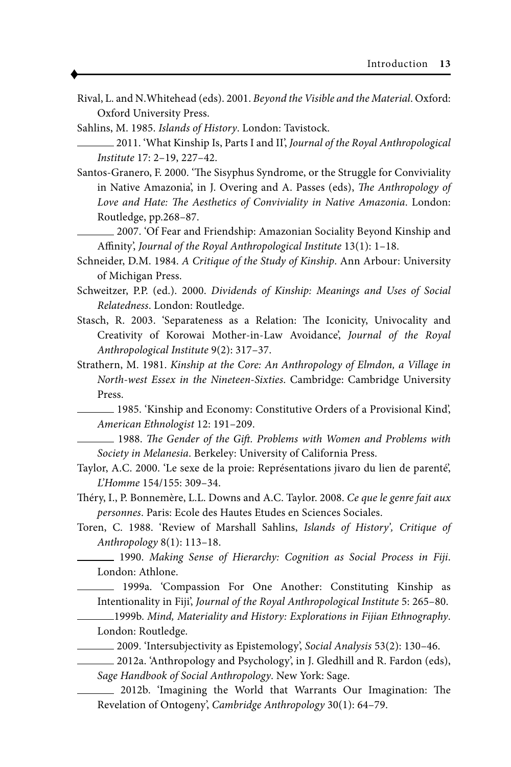- Rival, L. and N.Whitehead (eds). 2001. *Beyond the Visible and the Material*. Oxford: Oxford University Press.
- Sahlins, M. 1985. *Islands of History*. London: Tavistock.

♦

 2011. 'What Kinship Is, Parts I and II', *Journal of the Royal Anthropological Institute* 17: 2–19, 227–42.

- Santos-Granero, F. 2000. 'The Sisyphus Syndrome, or the Struggle for Conviviality in Native Amazonia', in J. Overing and A. Passes (eds), *The Anthropology of Love and Hate: The Aesthetics of Conviviality in Native Amazonia*. London: Routledge, pp.268–87.
	- 2007. 'Of Fear and Friendship: Amazonian Sociality Beyond Kinship and Affinity', *Journal of the Royal Anthropological Institute* 13(1): 1–18.
- Schneider, D.M. 1984. *A Critique of the Study of Kinship*. Ann Arbour: University of Michigan Press.
- Schweitzer, P.P. (ed.). 2000. *Dividends of Kinship: Meanings and Uses of Social Relatedness*. London: Routledge.
- Stasch, R. 2003. 'Separateness as a Relation: The Iconicity, Univocality and Creativity of Korowai Mother-in-Law Avoidance', *Journal of the Royal Anthropological Institute* 9(2): 317–37.
- Strathern, M. 1981. *Kinship at the Core: An Anthropology of Elmdon, a Village in North-west Essex in the Nineteen-Sixties*. Cambridge: Cambridge University Press.

 1985. 'Kinship and Economy: Constitutive Orders of a Provisional Kind', *American Ethnologist* 12: 191–209.

 1988. *The Gender of the Gift. Problems with Women and Problems with Society in Melanesia*. Berkeley: University of California Press.

- Taylor, A.C. 2000. 'Le sexe de la proie: Représentations jivaro du lien de parenté', *L'Homme* 154/155: 309–34.
- Théry, I., P. Bonnemère, L.L. Downs and A.C. Taylor. 2008. *Ce que le genre fait aux personnes*. Paris: Ecole des Hautes Etudes en Sciences Sociales.
- Toren, C. 1988. 'Review of Marshall Sahlins, *Islands of History', Critique of Anthropology* 8(1): 113–18.
- 1990. *Making Sense of Hierarchy: Cognition as Social Process in Fiji*. London: Athlone.

 1999a. 'Compassion For One Another: Constituting Kinship as Intentionality in Fiji', *Journal of the Royal Anthropological Institute* 5: 265–80.

1999b. *Mind, Materiality and History: Explorations in Fijian Ethnography*. London: Routledge.

2009. 'Intersubjectivity as Epistemology', *Social Analysis* 53(2): 130–46.

 2012a. 'Anthropology and Psychology', in J. Gledhill and R. Fardon (eds), *Sage Handbook of Social Anthropology*. New York: Sage.

 2012b. 'Imagining the World that Warrants Our Imagination: The Revelation of Ontogeny', *Cambridge Anthropology* 30(1): 64–79.